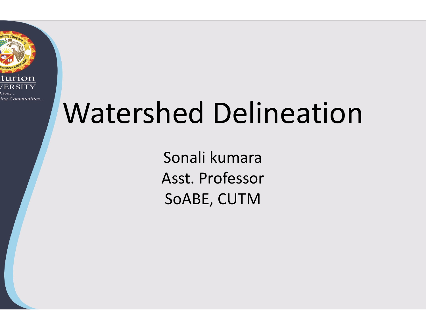

# Watershed Delineation

Sonali kumara Asst. Professor SoABE, CUTM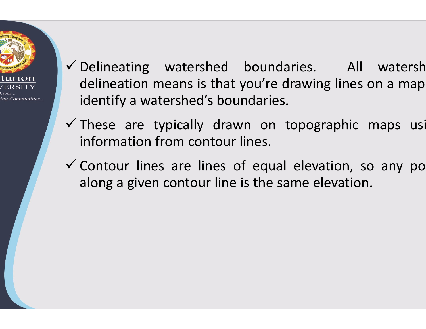

- Delineating watershed boundaries. All watersh Delineating watershed boundaries. All<br>delineation means is that you're drawing lines o<br>identify a watershed's boundaries.<br>These are typically drawn on tonographic r Delineating watershed boundarie<br>delineation means is that you're dray<br>identify a watershed's boundaries.<br>These are typically drawn on top<br>information from contour lines  $\checkmark$  Delineating watershed boundaries.<br>
delineation means is that you're drawing<br>
identify a watershed's boundaries.<br>  $\checkmark$  These are typically drawn on topograp<br>
information from contour lines.<br>  $\checkmark$  Contour lines are Delineating watershed boundaries.<br>
delineation means is that you're drawing<br>
identify a watershed's boundaries.<br>
These are typically drawn on topogra<br>
information from contour lines.<br>
Contour lines are lines of equal eleva Delineating watershed boundaries.<br>
delineation means is that you're drawing l<br>
identify a watershed's boundaries.<br>
These are typically drawn on topograp<br>
information from contour lines.<br>
Contour lines are lines of equal el boundaries. All watersh<br>vou're drawing lines on a map<br>ndaries. boundaries. All watersh<br>you're drawing lines on a map<br>ndaries.<br>yn on tonogranhic mans usi identify a watershed's boundaries. undaries. All watersh<br>
i're drawing lines on a map<br>
iries.<br>
on topographic maps usi<br>
s.<br>
qual elevation so any no ed boundaries. All watersh<br>hat you're drawing lines on a map<br>boundaries.<br>drawn on topographic maps usi<br>our lines.<br>es of equal elevation, so any po<br>line is the same elevation.
- information from contour lines.
- $\checkmark$  Contour lines are lines of equal elevation, so any po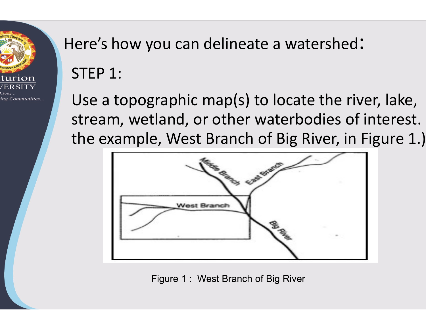

## Here's how you can delineate a watershed: STEP 1:

Use a topographic map(s) to locate the river, lake, stream, wetland, or other waterbodies of interest. the example, West Branch of Big River, in Figure 1.)



Figure 1 : West Branch of Big River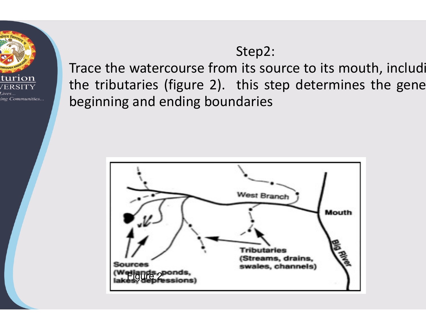

#### Step2:

Step2:<br>Trace the watercourse from its source to its mou<br>the tributaries (figure 2). this step determines<br>beginning and ending boundaries Step2:<br>Trace the watercourse from its source to its is<br>the tributaries (figure 2). this step determ<br>beginning and ending boundaries Step2:<br>Trace the watercourse from its source to its<br>the tributaries (figure 2). this step detern<br>beginning and ending boundaries itep2:<br>its source to its mouth, includi<br>his step determines the gene<br>laries Step2:<br>from its source to its mouth, includi<br>2). this step determines the gene<br>poundaries

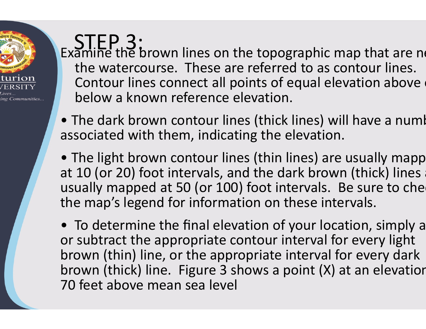$STEP3:$  Examine the brown lines on the topographic map that are nearthe watercourse. These are referred to as contour lines. Contour lines connect all points of equal elevation above below a known reference elevation.

• The dark brown contour lines (thick lines) will have a numl associated with them, indicating the elevation.

ng Communities

- The light brown contour lines (thin lines) are usually mapp at 10 (or 20) foot intervals, and the dark brown (thick) lines usually mapped at 50 (or 100) foot intervals. Be sure to che the map's legend for information on these intervals.
- To determine the final elevation of your location, simply a or subtract the appropriate contour interval for every light brown (thin) line, or the appropriate interval for every dark brown (thick) line. Figure 3 shows a point  $(X)$  at an elevation 70 feet above mean sea level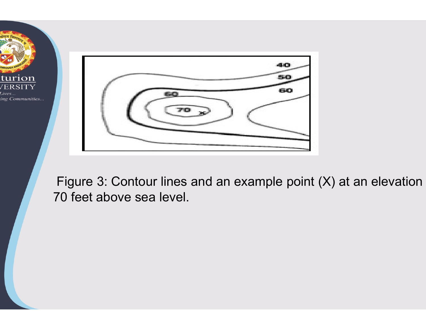



Figure 3: Contour lines and an example point  $(X)$  at an elevation 70 feet above sea level.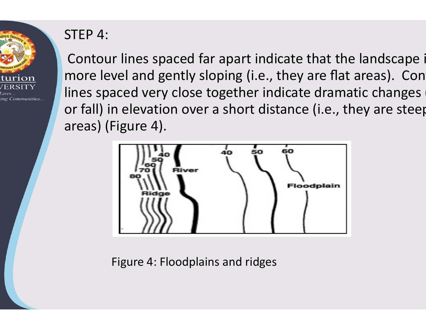

#### STEP 4:

Contour lines spaced far apart indicate that the landscape is more level and gently sloping (i.e., they are flat areas). Con lines spaced very close together indicate dramatic changes or fall) in elevation over a short distance (i.e., they are steep areas) (Figure 4).



Figure 4: Floodplains and ridges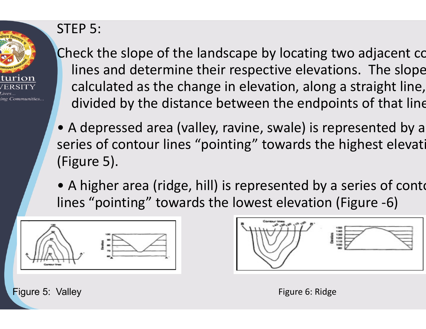

### STEP 5:

Check the slope of the landscape by locating two adjacent contain lines and determine their respective elevations. The slope calculated as the change in elevation, along a straight line, divided by the distance between the endpoints of that line.

- A depressed area (valley, ravine, swale) is represented by a series of contour lines "pointing" towards the highest elevation (Figure 5).
- A higher area (ridge, hill) is represented by a series of conto lines "pointing" towards the lowest elevation (Figure -6)





Figure 5: Valley

Figure 6: Ridge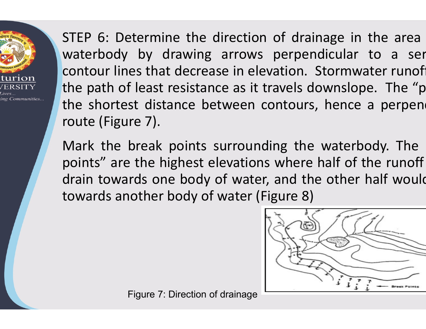ng Communities.

STEP 6: Determine the direction of drainage in<br>waterbody by drawing arrows perpendicular<br>contour lines that decrease in elevation. Stormw STEP 6: Determine the direction of drainage<br>waterbody by drawing arrows perpendicu<br>contour lines that decrease in elevation. Stor<br>the path of least resistance as it travels dowr STEP 6: Determine the direction of drain<br>waterbody by drawing arrows perpenc<br>contour lines that decrease in elevation. S<br>the path of least resistance as it travels do<br>the shortest distance between contours, STEP 6: Determine the direction of dra<br>waterbody by drawing arrows perper<br>contour lines that decrease in elevation.<br>the path of least resistance as it travels c<br>the shortest distance between contour:<br>route (Figure 7). STEP 6: Determine the direction of drainage<br>waterbody by drawing arrows perpendicu<br>contour lines that decrease in elevation. Stor<br>the path of least resistance as it travels down<br>the shortest distance between contours, he<br>r STEP 6: Determine the direction of drain<br>waterbody by drawing arrows perpend<br>contour lines that decrease in elevation. S<br>the path of least resistance as it travels do<br>the shortest distance between contours,<br>route (Figure 7 STEP 6: Determine the direction of drainage<br>waterbody by drawing arrows perpendicul<br>contour lines that decrease in elevation. Storr<br>the path of least resistance as it travels downs<br>the shortest distance between contours, h waterbody by drawing arrows perpendicular<br>contour lines that decrease in elevation. Stormy<br>the path of least resistance as it travels downslc<br>the shortest distance between contours, hence<br>route (Figure 7).<br>Mark the break of drainage in the area<br>perpendicular to a ser<br>ation. Stormwater runof irection of drainage in the area<br>arrows perpendicular to a ser<br>e in elevation. Stormwater runofi<br>e as it travels downslope. The "p ection of drainage in the area<br>
rows perpendicular to a ser<br>
in elevation. Stormwater runof<br>
as it travels downslope. The "p<br>
een contours, hence a perpen ection of drainage in the area<br>rows perpendicular to a ser<br>in elevation. Stormwater runofi<br>as it travels downslope. The "p<br>een contours, hence a perpen n of drainage in the area<br>
s perpendicular to a ser<br>
evation. Stormwater runof<br>
travels downslope. The "p<br>
contours, hence a perpend<br>
ding the waterbody. The direction of drainage in the area<br>arrows perpendicular to a ser<br>use in elevation. Stormwater runof<br>ice as it travels downslope. The "p<br>etween contours, hence a perpend<br>surrounding the waterbody. The<br>elevations where half o arrows perpendicular to a ser<br>se in elevation. Stormwater runof<br>ce as it travels downslope. The "p<br>tween contours, hence a perpend<br>surrounding the waterbody. The<br>levations where half of the runoff<br>of water, and the other

points" are the highest elevations where half of the runoff contour lines that decrease in elevation. Storr<br>the path of least resistance as it travels downs<br>the shortest distance between contours, her<br>route (Figure 7).<br>Mark the break points surrounding the wat<br>points" are the highe se in elevation. Stormwater runoff<br>ce as it travels downslope. The "p<br>tween contours, hence a perpend<br>surrounding the waterbody. The<br>levations where half of the runoff<br>of water (Figure 8)



Figure 7: Direction of drainage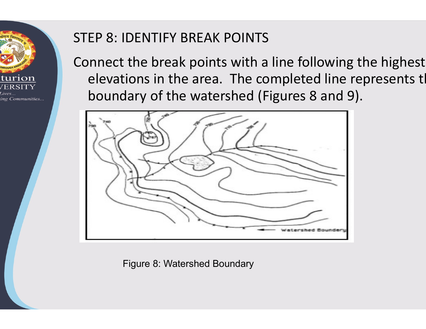

#### STEP 8: IDENTIFY BREAK POINTS

Connect the break points with a line following the highest elevations in the area. The completed line represents the boundary of the watershed (Figures 8 and 9).



Figure 8: Watershed Boundary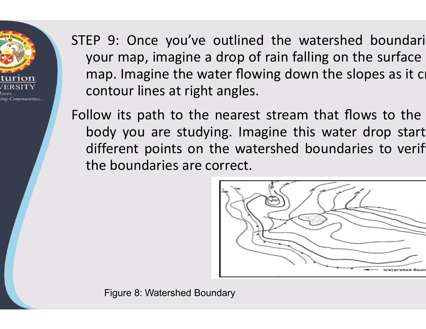

STEP 9: Once you've outlined the watersl<br>your map, imagine a drop of rain falling o<br>map. Imagine the water flowing down the EP 9: Once you've outlined the watershed bot<br>your map, imagine a drop of rain falling on the s<br>map. Imagine the water flowing down the slopes<br>contour lines at right angles. EP 9: Once you've outlined the watersher<br>your map, imagine a drop of rain falling on<br>map. Imagine the water flowing down the s<br>contour lines at right angles.<br>Ilow its path to the nearest stream that f EP 9: Once you've outlined the watersh<br>
your map, imagine a drop of rain falling or<br>
map. Imagine the water flowing down the<br>
contour lines at right angles.<br>
Ilow its path to the nearest stream that<br>
hody you are studying STEP 9: Once you've outlined the watershed<br>your map, imagine a drop of rain falling on th<br>map. Imagine the water flowing down the slo<br>contour lines at right angles.<br>Follow its path to the nearest stream that flow<br>body you EP 9: Once you've outlined the wate<br>your map, imagine a drop of rain falling<br>map. Imagine the water flowing down t<br>contour lines at right angles.<br>Ilow its path to the nearest stream th<br>body you are studying. Imagine this v EP 9: Once you've outlined the watershed<br>your map, imagine a drop of rain falling on th<br>map. Imagine the water flowing down the slo<br>contour lines at right angles.<br>Ilow its path to the nearest stream that flow<br>body you are outlined the watershed boundari<br>drop of rain falling on the surface<br>ter flowing down the slopes as it co butlined the watershed boundari<br>drop of rain falling on the surface<br>ter flowing down the slopes as it co<br>angles. Fined the watershed boundaring of rain falling on the surface<br>flowing down the slopes as it crosses<br>gles. contour lines at right angles. outlined the watershed boundari<br>drop of rain falling on the surface<br>ter flowing down the slopes as it cr<br>angles.<br>nearest stream that flows to the<br>ng. Imagine this water drop start<br>he watershed boundaries to verif bu've outlined the watershed boundari<br>gine a drop of rain falling on the surface<br>the water flowing down the slopes as it ci<br>t right angles.<br>o the nearest stream that flows to the<br>studying. Imagine this water drop start<br>s o lined the watershed boundari<br>p of rain falling on the surface<br>flowing down the slopes as it crists.<br>gles.<br>arest stream that flows to the<br>lmagine this water drop start<br>watershed boundaries to verifice.

the boundaries are correct.



Figure 8: Watershed Boundary